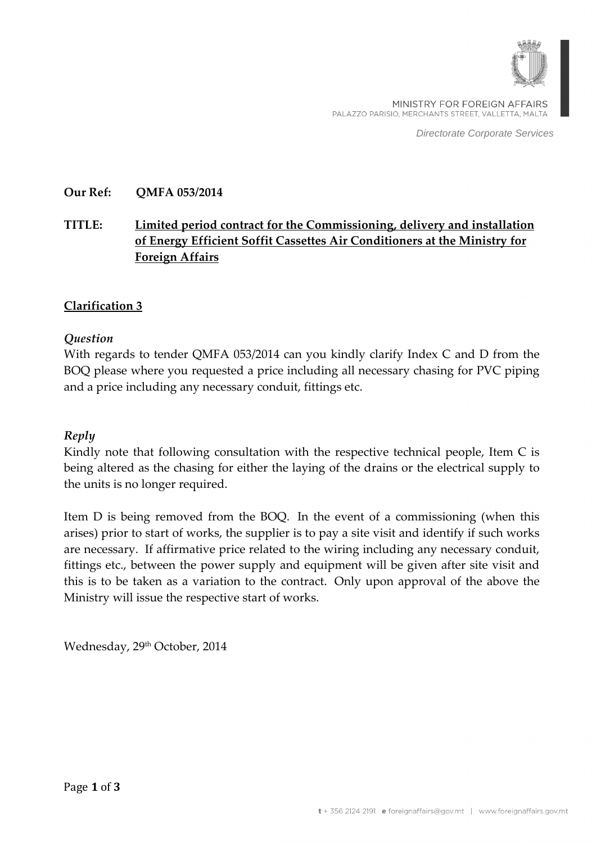

MINISTRY FOR FOREIGN AFFAIRS PALAZZO PARISIO, MERCHANTS STREET, VALLETTA, MALTA

Directorate Corporate Services

### **Our Ref: QMFA 053/2014**

## **TITLE: Limited period contract for the Commissioning, delivery and installation of Energy Efficient Soffit Cassettes Air Conditioners at the Ministry for Foreign Affairs**

### **Clarification 3**

#### *Question*

With regards to tender QMFA 053/2014 can you kindly clarify Index C and D from the BOQ please where you requested a price including all necessary chasing for PVC piping and a price including any necessary conduit, fittings etc.

#### *Reply*

Kindly note that following consultation with the respective technical people, Item C is being altered as the chasing for either the laying of the drains or the electrical supply to the units is no longer required.

Item D is being removed from the BOQ. In the event of a commissioning (when this arises) prior to start of works, the supplier is to pay a site visit and identify if such works are necessary. If affirmative price related to the wiring including any necessary conduit, fittings etc., between the power supply and equipment will be given after site visit and this is to be taken as a variation to the contract. Only upon approval of the above the Ministry will issue the respective start of works.

Wednesday, 29<sup>th</sup> October, 2014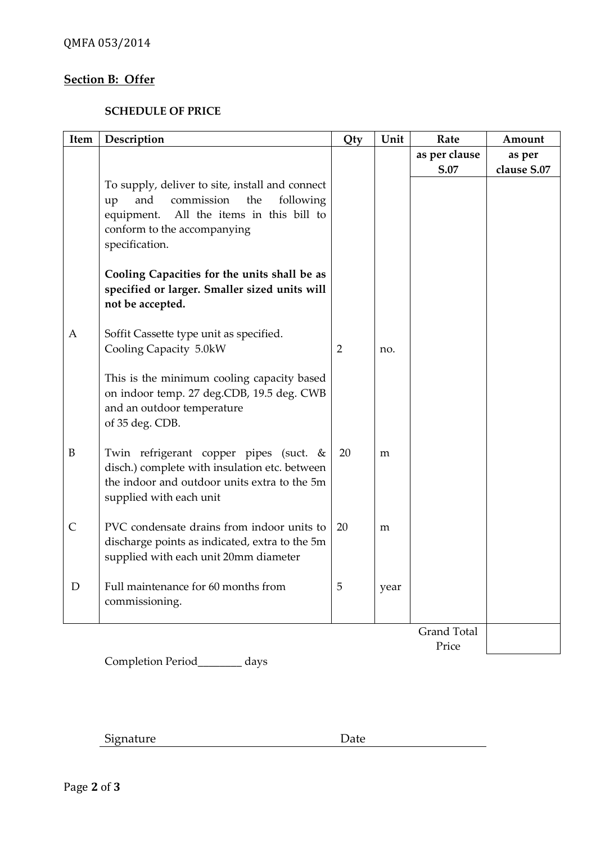# **Section B: Offer**

## **SCHEDULE OF PRICE**

| Item         | Description                                                                                   | Qty            | Unit | Rate               | Amount      |
|--------------|-----------------------------------------------------------------------------------------------|----------------|------|--------------------|-------------|
|              |                                                                                               |                |      | as per clause      | as per      |
|              |                                                                                               |                |      | S.07               | clause S.07 |
|              | To supply, deliver to site, install and connect                                               |                |      |                    |             |
|              | and<br>commission<br>the<br>following<br>up                                                   |                |      |                    |             |
|              | All the items in this bill to<br>equipment.                                                   |                |      |                    |             |
|              | conform to the accompanying                                                                   |                |      |                    |             |
|              | specification.                                                                                |                |      |                    |             |
|              | Cooling Capacities for the units shall be as<br>specified or larger. Smaller sized units will |                |      |                    |             |
|              | not be accepted.                                                                              |                |      |                    |             |
|              |                                                                                               |                |      |                    |             |
| A            | Soffit Cassette type unit as specified.                                                       |                |      |                    |             |
|              | Cooling Capacity 5.0kW                                                                        | $\overline{2}$ | no.  |                    |             |
|              | This is the minimum cooling capacity based                                                    |                |      |                    |             |
|              | on indoor temp. 27 deg.CDB, 19.5 deg. CWB                                                     |                |      |                    |             |
|              | and an outdoor temperature<br>of 35 deg. CDB.                                                 |                |      |                    |             |
|              |                                                                                               |                |      |                    |             |
| $\, {\bf B}$ | Twin refrigerant copper pipes (suct. &                                                        | 20             | m    |                    |             |
|              | disch.) complete with insulation etc. between                                                 |                |      |                    |             |
|              | the indoor and outdoor units extra to the 5m                                                  |                |      |                    |             |
|              | supplied with each unit                                                                       |                |      |                    |             |
| $\mathsf{C}$ | PVC condensate drains from indoor units to                                                    | 20             |      |                    |             |
|              | discharge points as indicated, extra to the 5m                                                |                | m    |                    |             |
|              | supplied with each unit 20mm diameter                                                         |                |      |                    |             |
|              |                                                                                               |                |      |                    |             |
| D            | Full maintenance for 60 months from                                                           | 5              | year |                    |             |
|              | commissioning.                                                                                |                |      |                    |             |
|              |                                                                                               |                |      |                    |             |
|              |                                                                                               |                |      | <b>Grand Total</b> |             |
|              |                                                                                               |                |      | Price              |             |

Completion Period\_\_\_\_\_\_\_\_ days

Signature Date